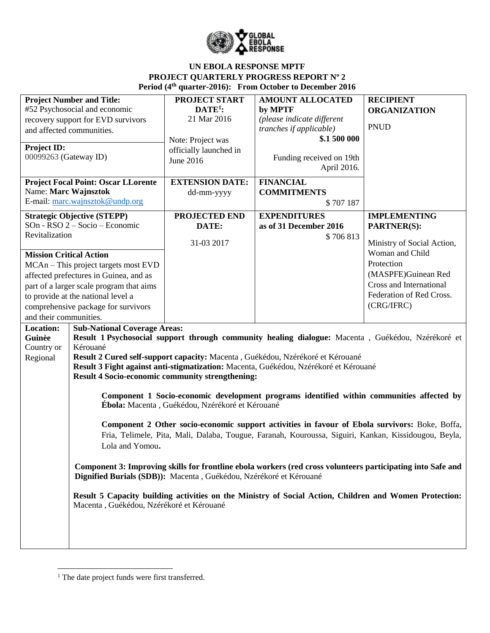

| <b>Project Number and Title:</b><br>#52 Psychosocial and economic<br>recovery support for EVD survivors<br>and affected communities. |                                                                    | <b>PROJECT START</b><br>$DATE1$ :<br>21 Mar 2016<br>Note: Project was | <b>AMOUNT ALLOCATED</b><br>by MPTF<br>(please indicate different<br>tranches if applicable)<br>\$.1 500 000                                                                                            | <b>RECIPIENT</b><br><b>ORGANIZATION</b><br><b>PNUD</b> |
|--------------------------------------------------------------------------------------------------------------------------------------|--------------------------------------------------------------------|-----------------------------------------------------------------------|--------------------------------------------------------------------------------------------------------------------------------------------------------------------------------------------------------|--------------------------------------------------------|
| <b>Project ID:</b><br>00099263 (Gateway ID)                                                                                          |                                                                    | officially launched in<br>June 2016                                   | Funding received on 19th<br>April 2016.                                                                                                                                                                |                                                        |
|                                                                                                                                      | <b>Project Focal Point: Oscar LLorente</b>                         | <b>EXTENSION DATE:</b>                                                | <b>FINANCIAL</b>                                                                                                                                                                                       |                                                        |
| Name: Marc Wajnsztok                                                                                                                 | E-mail: marc.wajnsztok@undp.org                                    | dd-mm-yyyy                                                            | <b>COMMITMENTS</b><br>\$707 187                                                                                                                                                                        |                                                        |
|                                                                                                                                      | <b>Strategic Objective (STEPP)</b>                                 | PROJECTED END                                                         | <b>EXPENDITURES</b>                                                                                                                                                                                    | <b>IMPLEMENTING</b>                                    |
|                                                                                                                                      | SOn - RSO 2 – Socio – Economic                                     | DATE:                                                                 | as of 31 December 2016                                                                                                                                                                                 | <b>PARTNER(S):</b>                                     |
| Revitalization                                                                                                                       |                                                                    | 31-03 2017                                                            | \$706813                                                                                                                                                                                               | Ministry of Social Action,                             |
| <b>Mission Critical Action</b>                                                                                                       |                                                                    |                                                                       |                                                                                                                                                                                                        | Woman and Child                                        |
|                                                                                                                                      | MCAn – This project targets most EVD                               |                                                                       |                                                                                                                                                                                                        | Protection                                             |
|                                                                                                                                      | affected prefectures in Guinea, and as                             |                                                                       |                                                                                                                                                                                                        | (MASPFE)Guinean Red                                    |
|                                                                                                                                      | part of a larger scale program that aims                           |                                                                       |                                                                                                                                                                                                        | Cross and International                                |
|                                                                                                                                      | to provide at the national level a                                 |                                                                       |                                                                                                                                                                                                        | Federation of Red Cross.                               |
|                                                                                                                                      | comprehensive package for survivors                                |                                                                       |                                                                                                                                                                                                        | (CRG/IFRC)                                             |
| and their communities.                                                                                                               |                                                                    |                                                                       |                                                                                                                                                                                                        |                                                        |
| Location:<br>Guinèe                                                                                                                  | <b>Sub-National Coverage Areas:</b>                                |                                                                       | Result 1 Psychosocial support through community healing dialogue: Macenta, Guékédou, Nzérékoré et                                                                                                      |                                                        |
| Country or                                                                                                                           | Kérouané                                                           |                                                                       |                                                                                                                                                                                                        |                                                        |
| Regional                                                                                                                             |                                                                    |                                                                       | Result 2 Cured self-support capacity: Macenta, Guékédou, Nzérékoré et Kérouané                                                                                                                         |                                                        |
|                                                                                                                                      |                                                                    |                                                                       | Result 3 Fight against anti-stigmatization: Macenta, Guékédou, Nzérékoré et Kérouané                                                                                                                   |                                                        |
|                                                                                                                                      | <b>Result 4 Socio-economic community strengthening:</b>            |                                                                       |                                                                                                                                                                                                        |                                                        |
|                                                                                                                                      |                                                                    | Ébola: Macenta, Guékédou, Nzérékoré et Kérouané                       | Component 1 Socio-economic development programs identified within communities affected by                                                                                                              |                                                        |
| Lola and Yomou.                                                                                                                      |                                                                    |                                                                       | Component 2 Other socio-economic support activities in favour of Ebola survivors: Boke, Boffa,<br>Fria, Telimele, Pita, Mali, Dalaba, Tougue, Faranah, Kouroussa, Siguiri, Kankan, Kissidougou, Beyla, |                                                        |
|                                                                                                                                      | Dignified Burials (SDB)): Macenta, Guékédou, Nzérékoré et Kérouané |                                                                       | Component 3: Improving skills for frontline ebola workers (red cross volunteers participating into Safe and                                                                                            |                                                        |
|                                                                                                                                      | Macenta, Guékédou, Nzérékoré et Kérouané                           |                                                                       | Result 5 Capacity building activities on the Ministry of Social Action, Children and Women Protection:                                                                                                 |                                                        |
|                                                                                                                                      |                                                                    |                                                                       |                                                                                                                                                                                                        |                                                        |

<sup>&</sup>lt;sup>1</sup> The date project funds were first transferred.

 $\overline{\phantom{a}}$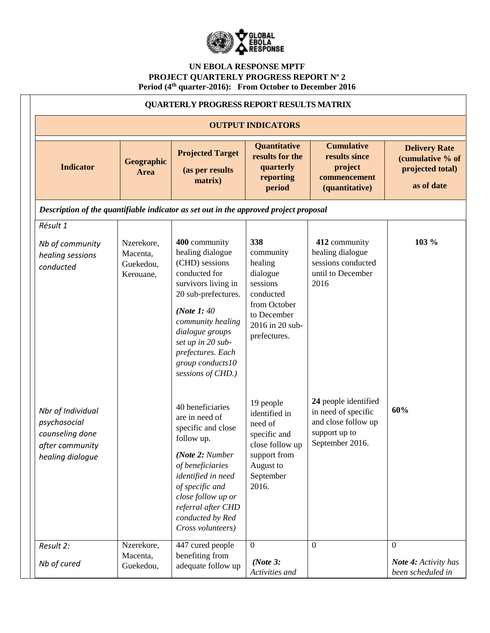

|                                                                                             | <b>QUARTERLY PROGRESS REPORT RESULTS MATRIX</b>  |                                                                                                                                                                                                                                                               |                                                                                                                                    |                                                                                                        |                                                                            |  |
|---------------------------------------------------------------------------------------------|--------------------------------------------------|---------------------------------------------------------------------------------------------------------------------------------------------------------------------------------------------------------------------------------------------------------------|------------------------------------------------------------------------------------------------------------------------------------|--------------------------------------------------------------------------------------------------------|----------------------------------------------------------------------------|--|
|                                                                                             | <b>OUTPUT INDICATORS</b>                         |                                                                                                                                                                                                                                                               |                                                                                                                                    |                                                                                                        |                                                                            |  |
| <b>Indicator</b>                                                                            | Geographic<br>Area                               | <b>Projected Target</b><br>(as per results<br>matrix)                                                                                                                                                                                                         | Quantitative<br>results for the<br>quarterly<br>reporting<br>period                                                                | <b>Cumulative</b><br>results since<br>project<br>commencement<br>(quantitative)                        | <b>Delivery Rate</b><br>(cumulative % of<br>projected total)<br>as of date |  |
| Description of the quantifiable indicator as set out in the approved project proposal       |                                                  |                                                                                                                                                                                                                                                               |                                                                                                                                    |                                                                                                        |                                                                            |  |
| Résult 1                                                                                    |                                                  |                                                                                                                                                                                                                                                               |                                                                                                                                    |                                                                                                        |                                                                            |  |
| Nb of community<br>healing sessions<br>conducted                                            | Nzerekore,<br>Macenta,<br>Guekedou,<br>Kerouane, | 400 community<br>healing dialogue<br>(CHD) sessions<br>conducted for<br>survivors living in<br>20 sub-prefectures.<br>(Note 1: 40)<br>community healing<br>dialogue groups<br>set up in 20 sub-<br>prefectures. Each<br>group conducts10<br>sessions of CHD.) | 338<br>community<br>healing<br>dialogue<br>sessions<br>conducted<br>from October<br>to December<br>2016 in 20 sub-<br>prefectures. | 412 community<br>healing dialogue<br>sessions conducted<br>until to December<br>2016                   | 103 %                                                                      |  |
| Nbr of Individual<br>psychosocial<br>counseling done<br>after community<br>healing dialogue |                                                  | 40 beneficiaries<br>are in need of<br>specific and close<br>follow up.<br>(Note 2: Number<br>of beneficiaries<br>identified in need<br>of specific and<br>close follow up or<br>referral after CHD<br>conducted by Red<br>Cross volunteers)                   | 19 people<br>identified in<br>need of<br>specific and<br>close follow up<br>support from<br>August to<br>September<br>2016.        | 24 people identified<br>in need of specific<br>and close follow up<br>support up to<br>September 2016. | 60%                                                                        |  |
| Result 2:                                                                                   | Nzerekore,<br>Macenta,                           | 447 cured people<br>benefiting from                                                                                                                                                                                                                           | $\overline{0}$                                                                                                                     | $\overline{0}$                                                                                         | $\overline{0}$                                                             |  |
| Nb of cured                                                                                 | Guekedou,                                        | adequate follow up                                                                                                                                                                                                                                            | (Note $3$ :<br>Activities and                                                                                                      |                                                                                                        | <b>Note 4:</b> Activity has<br>been scheduled in                           |  |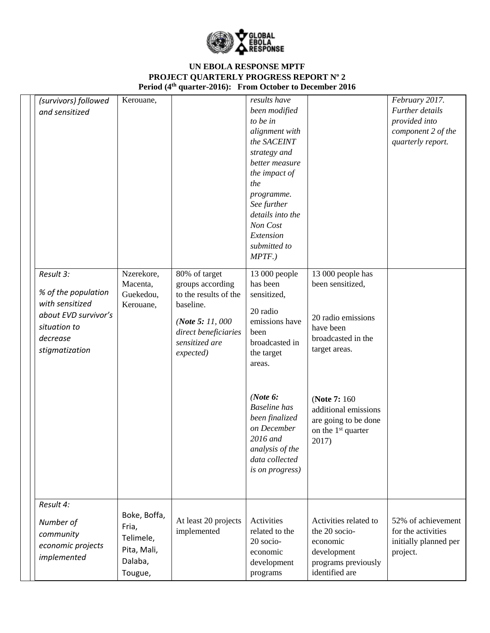

| (survivors) followed<br>and sensitized                                                                                    | Kerouane,                                                               |                                                                                                                                                     | results have<br>been modified<br>to be in<br>alignment with<br>the SACEINT                                                                                    |                                                                                                                 | February 2017.<br>Further details<br>provided into<br>component 2 of the<br>quarterly report. |
|---------------------------------------------------------------------------------------------------------------------------|-------------------------------------------------------------------------|-----------------------------------------------------------------------------------------------------------------------------------------------------|---------------------------------------------------------------------------------------------------------------------------------------------------------------|-----------------------------------------------------------------------------------------------------------------|-----------------------------------------------------------------------------------------------|
|                                                                                                                           |                                                                         |                                                                                                                                                     | strategy and<br>better measure<br>the impact of<br>the<br>programme.<br>See further<br>details into the<br>Non Cost<br>Extension<br>submitted to<br>$MPTF.$ ) |                                                                                                                 |                                                                                               |
| Result 3:<br>% of the population<br>with sensitized<br>about EVD survivor's<br>situation to<br>decrease<br>stigmatization | Nzerekore,<br>Macenta,<br>Guekedou,<br>Kerouane,                        | 80% of target<br>groups according<br>to the results of the<br>baseline.<br>(Note 5: 11, 000)<br>direct beneficiaries<br>sensitized are<br>expected) | 13 000 people<br>has been<br>sensitized,<br>20 radio<br>emissions have<br>been<br>broadcasted in<br>the target<br>areas.                                      | 13 000 people has<br>been sensitized,<br>20 radio emissions<br>have been<br>broadcasted in the<br>target areas. |                                                                                               |
|                                                                                                                           |                                                                         |                                                                                                                                                     | (Note $6$ :<br><b>Baseline</b> has<br>been finalized<br>on December<br>2016 and<br>analysis of the<br>data collected<br>is on progress)                       | (Note 7: 160)<br>additional emissions<br>are going to be done<br>on the 1 <sup>st</sup> quarter<br>2017)        |                                                                                               |
| Result 4:<br>Number of<br>community<br>economic projects<br>implemented                                                   | Boke, Boffa,<br>Fria,<br>Telimele,<br>Pita, Mali,<br>Dalaba,<br>Tougue, | At least 20 projects<br>implemented                                                                                                                 | Activities<br>related to the<br>20 socio-<br>economic<br>development<br>programs                                                                              | Activities related to<br>the 20 socio-<br>economic<br>development<br>programs previously<br>identified are      | 52% of achievement<br>for the activities<br>initially planned per<br>project.                 |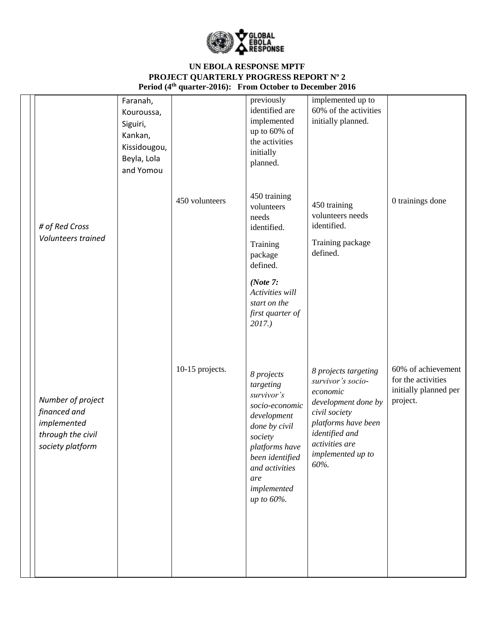

| # of Red Cross                                                                            | Faranah,<br>Kouroussa,<br>Siguiri,<br>Kankan,<br>Kissidougou,<br>Beyla, Lola<br>and Yomou | 450 volunteers  | previously<br>identified are<br>implemented<br>up to 60% of<br>the activities<br>initially<br>planned.<br>450 training<br>volunteers<br>needs<br>identified.                                  | implemented up to<br>60% of the activities<br>initially planned.<br>450 training<br>volunteers needs<br>identified.                                                                          | 0 trainings done                                                              |
|-------------------------------------------------------------------------------------------|-------------------------------------------------------------------------------------------|-----------------|-----------------------------------------------------------------------------------------------------------------------------------------------------------------------------------------------|----------------------------------------------------------------------------------------------------------------------------------------------------------------------------------------------|-------------------------------------------------------------------------------|
| Volunteers trained                                                                        |                                                                                           |                 | Training<br>package<br>defined.<br>(Note $7:$<br>Activities will<br>start on the<br>first quarter of<br>$2017.$ )                                                                             | Training package<br>defined.                                                                                                                                                                 |                                                                               |
| Number of project<br>financed and<br>implemented<br>through the civil<br>society platform |                                                                                           | 10-15 projects. | 8 projects<br>targeting<br>survivor's<br>socio-economic<br>development<br>done by civil<br>society<br>platforms have<br>been identified<br>and activities<br>are<br>implemented<br>up to 60%. | 8 projects targeting<br>survivor's socio-<br>economic<br>development done by<br>civil society<br>platforms have been<br>identified and<br>activities are<br><i>implemented up to</i><br>60%. | 60% of achievement<br>for the activities<br>initially planned per<br>project. |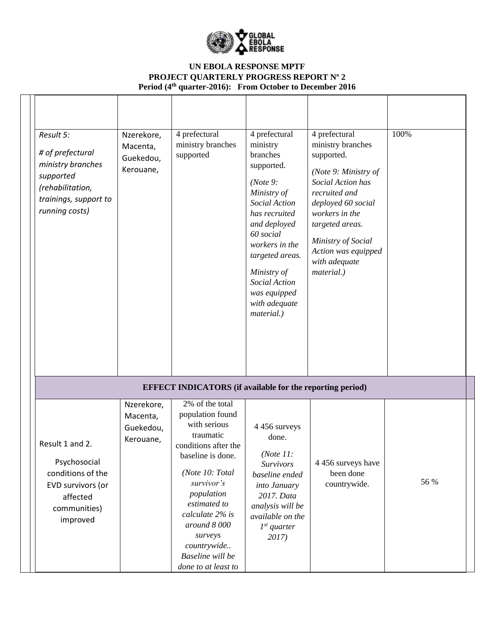

| Result 5:<br># of prefectural<br>ministry branches<br>supported<br>(rehabilitation,<br>trainings, support to<br>running costs) | Nzerekore,<br>Macenta,<br>Guekedou,<br>Kerouane, | 4 prefectural<br>ministry branches<br>supported                                                                                                                                                                                                                                     | 4 prefectural<br>ministry<br>branches<br>supported.<br>(Note 9:<br>Ministry of<br>Social Action<br>has recruited<br>and deployed<br>60 social<br>workers in the<br>targeted areas.<br>Ministry of<br>Social Action<br>was equipped<br>with adequate<br>material.) | 4 prefectural<br>ministry branches<br>supported.<br>(Note 9: Ministry of<br>Social Action has<br>recruited and<br>deployed 60 social<br>workers in the<br>targeted areas.<br>Ministry of Social<br>Action was equipped<br>with adequate<br>material.) | 100% |
|--------------------------------------------------------------------------------------------------------------------------------|--------------------------------------------------|-------------------------------------------------------------------------------------------------------------------------------------------------------------------------------------------------------------------------------------------------------------------------------------|-------------------------------------------------------------------------------------------------------------------------------------------------------------------------------------------------------------------------------------------------------------------|-------------------------------------------------------------------------------------------------------------------------------------------------------------------------------------------------------------------------------------------------------|------|
|                                                                                                                                |                                                  | <b>EFFECT INDICATORS</b> (if available for the reporting period)                                                                                                                                                                                                                    |                                                                                                                                                                                                                                                                   |                                                                                                                                                                                                                                                       |      |
| Result 1 and 2.<br>Psychosocial<br>conditions of the<br>EVD survivors (or<br>affected<br>communities)<br>improved              | Nzerekore,<br>Macenta,<br>Guekedou,<br>Kerouane, | 2% of the total<br>population found<br>with serious<br>traumatic<br>conditions after the<br>baseline is done.<br>(Note 10: Total<br>survivor's<br>population<br>estimated to<br>calculate 2% is<br>around 8000<br>surveys<br>countrywide<br>Baseline will be<br>done to at least to | 4 456 surveys<br>done.<br>( <i>Note</i> $11$ :<br><b>Survivors</b><br>baseline ended<br>into January<br>2017. Data<br>analysis will be<br>available on the<br>$1^{st}$ quarter<br>2017)                                                                           | 4 456 surveys have<br>been done<br>countrywide.                                                                                                                                                                                                       | 56 % |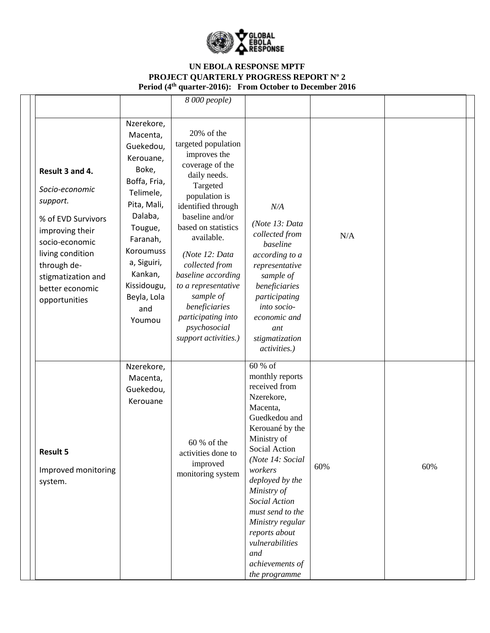

|                                                                                                                                                                                                       |                                                                                                                                                                                                                               | $\sqrt{8000}$ people)                                                                                                                                                                                                                                                                                                                                                        |                                                                                                                                                                                                                                                                                                                                                    |     |     |  |
|-------------------------------------------------------------------------------------------------------------------------------------------------------------------------------------------------------|-------------------------------------------------------------------------------------------------------------------------------------------------------------------------------------------------------------------------------|------------------------------------------------------------------------------------------------------------------------------------------------------------------------------------------------------------------------------------------------------------------------------------------------------------------------------------------------------------------------------|----------------------------------------------------------------------------------------------------------------------------------------------------------------------------------------------------------------------------------------------------------------------------------------------------------------------------------------------------|-----|-----|--|
| Result 3 and 4.<br>Socio-economic<br>support.<br>% of EVD Survivors<br>improving their<br>socio-economic<br>living condition<br>through de-<br>stigmatization and<br>better economic<br>opportunities | Nzerekore,<br>Macenta,<br>Guekedou,<br>Kerouane,<br>Boke,<br>Boffa, Fria,<br>Telimele,<br>Pita, Mali,<br>Dalaba,<br>Tougue,<br>Faranah,<br>Koroumuss<br>a, Siguiri,<br>Kankan,<br>Kissidougu,<br>Beyla, Lola<br>and<br>Youmou | 20% of the<br>targeted population<br>improves the<br>coverage of the<br>daily needs.<br>Targeted<br>population is<br>identified through<br>baseline and/or<br>based on statistics<br>available.<br>(Note 12: Data<br>collected from<br>baseline according<br>to a representative<br>sample of<br>beneficiaries<br>participating into<br>psychosocial<br>support activities.) | N/A<br>(Note 13: Data<br>collected from<br>baseline<br>according to a<br>representative<br>sample of<br>beneficiaries<br>participating<br>into socio-<br>economic and<br>ant<br>stigmatization<br><i>activities.)</i>                                                                                                                              | N/A |     |  |
| <b>Result 5</b><br>Improved monitoring<br>system.                                                                                                                                                     | Nzerekore,<br>Macenta,<br>Guekedou,<br>Kerouane                                                                                                                                                                               | 60 % of the<br>activities done to<br>improved<br>monitoring system                                                                                                                                                                                                                                                                                                           | 60 % of<br>monthly reports<br>received from<br>Nzerekore,<br>Macenta,<br>Guedkedou and<br>Kerouané by the<br>Ministry of<br>Social Action<br>(Note 14: Social<br>workers<br>deployed by the<br>Ministry of<br>Social Action<br>must send to the<br>Ministry regular<br>reports about<br>vulnerabilities<br>and<br>achievements of<br>the programme | 60% | 60% |  |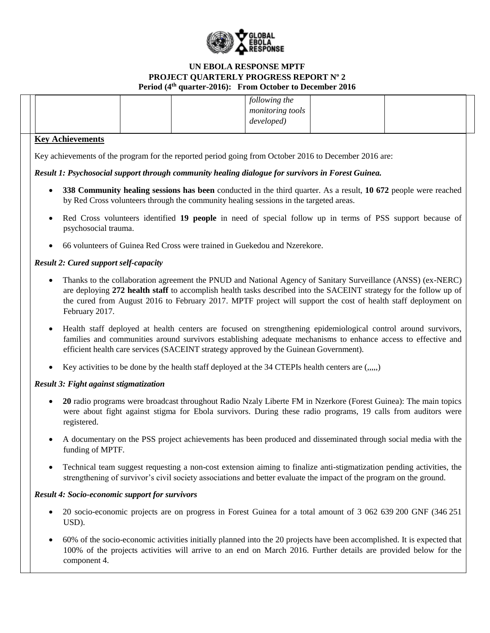

|  |  | following the           |  |  |
|--|--|-------------------------|--|--|
|  |  | <i>monitoring tools</i> |  |  |
|  |  | developed)              |  |  |
|  |  |                         |  |  |

### **Key Achievements**

Key achievements of the program for the reported period going from October 2016 to December 2016 are:

## *Result 1: Psychosocial support through community healing dialogue for survivors in Forest Guinea.*

- **338 Community healing sessions has been** conducted in the third quarter. As a result, **10 672** people were reached by Red Cross volunteers through the community healing sessions in the targeted areas.
- Red Cross volunteers identified **19 people** in need of special follow up in terms of PSS support because of psychosocial trauma.
- 66 volunteers of Guinea Red Cross were trained in Guekedou and Nzerekore.

## *Result 2: Cured support self-capacity*

- Thanks to the collaboration agreement the PNUD and National Agency of Sanitary Surveillance (ANSS) (ex-NERC) are deploying **272 health staff** to accomplish health tasks described into the SACEINT strategy for the follow up of the cured from August 2016 to February 2017. MPTF project will support the cost of health staff deployment on February 2017.
- Health staff deployed at health centers are focused on strengthening epidemiological control around survivors, families and communities around survivors establishing adequate mechanisms to enhance access to effective and efficient health care services (SACEINT strategy approved by the Guinean Government).
- Exercitvities to be done by the health staff deployed at the 34 CTEPIs health centers are  $(0, 0, 0)$

## *Result 3: Fight against stigmatization*

- 20 radio programs were broadcast throughout Radio Nzaly Liberte FM in Nzerkore (Forest Guinea): The main topics were about fight against stigma for Ebola survivors. During these radio programs, 19 calls from auditors were registered.
- A documentary on the PSS project achievements has been produced and disseminated through social media with the funding of MPTF.
- Technical team suggest requesting a non-cost extension aiming to finalize anti-stigmatization pending activities, the strengthening of survivor's civil society associations and better evaluate the impact of the program on the ground.

## *Result 4: Socio-economic support for survivors*

- 20 socio-economic projects are on progress in Forest Guinea for a total amount of 3 062 639 200 GNF (346 251) USD).
- 60% of the socio-economic activities initially planned into the 20 projects have been accomplished. It is expected that 100% of the projects activities will arrive to an end on March 2016. Further details are provided below for the component 4.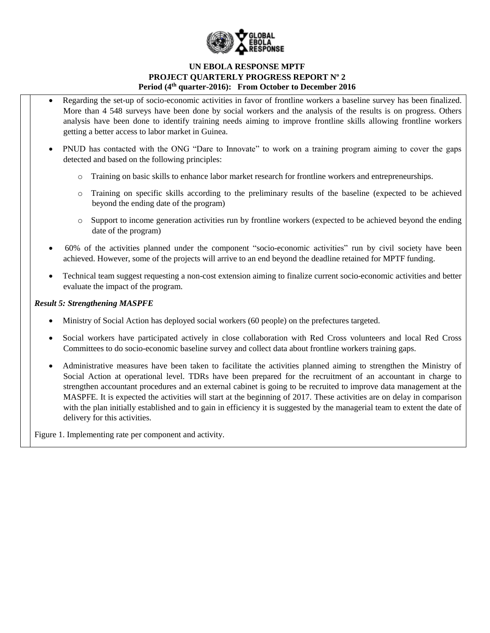

- Regarding the set-up of socio-economic activities in favor of frontline workers a baseline survey has been finalized. More than 4 548 surveys have been done by social workers and the analysis of the results is on progress. Others analysis have been done to identify training needs aiming to improve frontline skills allowing frontline workers getting a better access to labor market in Guinea.
- PNUD has contacted with the ONG "Dare to Innovate" to work on a training program aiming to cover the gaps detected and based on the following principles:
	- Training on basic skills to enhance labor market research for frontline workers and entrepreneurships.
	- o Training on specific skills according to the preliminary results of the baseline (expected to be achieved beyond the ending date of the program)
	- o Support to income generation activities run by frontline workers (expected to be achieved beyond the ending date of the program)
- 60% of the activities planned under the component "socio-economic activities" run by civil society have been achieved. However, some of the projects will arrive to an end beyond the deadline retained for MPTF funding.
- Technical team suggest requesting a non-cost extension aiming to finalize current socio-economic activities and better evaluate the impact of the program.

### *Result 5: Strengthening MASPFE*

- Ministry of Social Action has deployed social workers (60 people) on the prefectures targeted.
- Social workers have participated actively in close collaboration with Red Cross volunteers and local Red Cross Committees to do socio-economic baseline survey and collect data about frontline workers training gaps.
- Administrative measures have been taken to facilitate the activities planned aiming to strengthen the Ministry of Social Action at operational level. TDRs have been prepared for the recruitment of an accountant in charge to strengthen accountant procedures and an external cabinet is going to be recruited to improve data management at the MASPFE. It is expected the activities will start at the beginning of 2017. These activities are on delay in comparison with the plan initially established and to gain in efficiency it is suggested by the managerial team to extent the date of delivery for this activities.

Figure 1. Implementing rate per component and activity.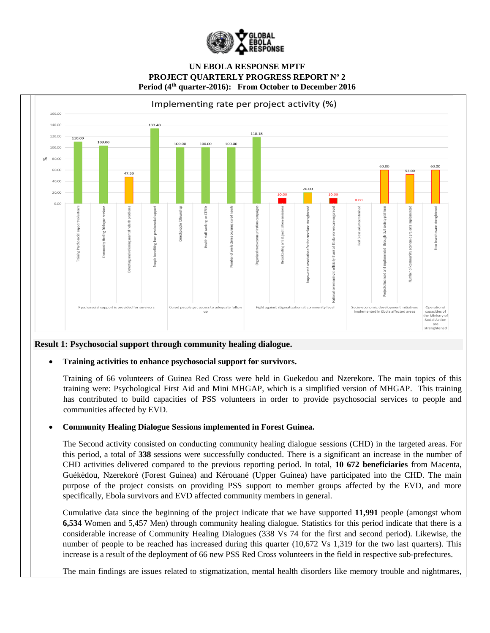



## **Result 1: Psychosocial support through community healing dialogue.**

#### **Training activities to enhance psychosocial support for survivors.**

Training of 66 volunteers of Guinea Red Cross were held in Guekedou and Nzerekore. The main topics of this training were: Psychological First Aid and Mini MHGAP, which is a simplified version of MHGAP. This training has contributed to build capacities of PSS volunteers in order to provide psychosocial services to people and communities affected by EVD.

#### **Community Healing Dialogue Sessions implemented in Forest Guinea.**

The Second activity consisted on conducting community healing dialogue sessions (CHD) in the targeted areas. For this period, a total of **338** sessions were successfully conducted. There is a significant an increase in the number of CHD activities delivered compared to the previous reporting period. In total, **10 672 beneficiaries** from Macenta, Guékèdou, Nzerekoré (Forest Guinea) and Kérouané (Upper Guinea) have participated into the CHD. The main purpose of the project consists on providing PSS support to member groups affected by the EVD, and more specifically, Ebola survivors and EVD affected community members in general.

Cumulative data since the beginning of the project indicate that we have supported **11,991** people (amongst whom **6,534** Women and 5,457 Men) through community healing dialogue. Statistics for this period indicate that there is a considerable increase of Community Healing Dialogues (338 Vs 74 for the first and second period). Likewise, the number of people to be reached has increased during this quarter (10,672 Vs 1,319 for the two last quarters). This increase is a result of the deployment of 66 new PSS Red Cross volunteers in the field in respective sub-prefectures.

The main findings are issues related to stigmatization, mental health disorders like memory trouble and nightmares,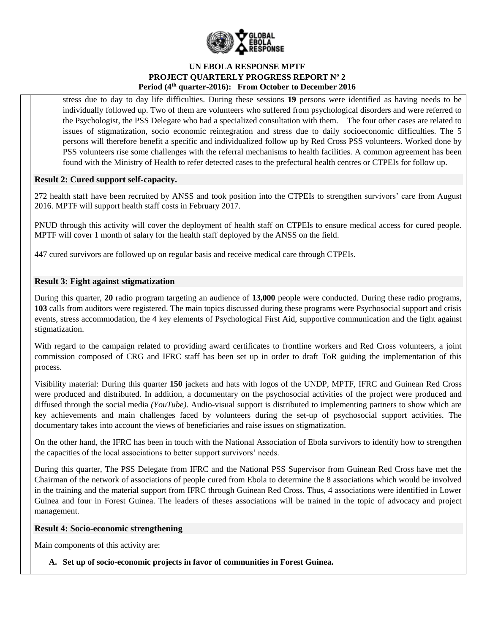

stress due to day to day life difficulties. During these sessions **19** persons were identified as having needs to be individually followed up. Two of them are volunteers who suffered from psychological disorders and were referred to the Psychologist, the PSS Delegate who had a specialized consultation with them. The four other cases are related to issues of stigmatization, socio economic reintegration and stress due to daily socioeconomic difficulties. The 5 persons will therefore benefit a specific and individualized follow up by Red Cross PSS volunteers. Worked done by PSS volunteers rise some challenges with the referral mechanisms to health facilities. A common agreement has been found with the Ministry of Health to refer detected cases to the prefectural health centres or CTPEIs for follow up.

### **Result 2: Cured support self-capacity.**

272 health staff have been recruited by ANSS and took position into the CTPEIs to strengthen survivors' care from August 2016. MPTF will support health staff costs in February 2017.

PNUD through this activity will cover the deployment of health staff on CTPEIs to ensure medical access for cured people. MPTF will cover 1 month of salary for the health staff deployed by the ANSS on the field.

447 cured survivors are followed up on regular basis and receive medical care through CTPEIs.

### **Result 3: Fight against stigmatization**

During this quarter, **20** radio program targeting an audience of **13,000** people were conducted. During these radio programs, **103** calls from auditors were registered. The main topics discussed during these programs were Psychosocial support and crisis events, stress accommodation, the 4 key elements of Psychological First Aid, supportive communication and the fight against stigmatization.

With regard to the campaign related to providing award certificates to frontline workers and Red Cross volunteers, a joint commission composed of CRG and IFRC staff has been set up in order to draft ToR guiding the implementation of this process.

Visibility material: During this quarter **150** jackets and hats with logos of the UNDP, MPTF, IFRC and Guinean Red Cross were produced and distributed. In addition, a documentary on the psychosocial activities of the project were produced and diffused through the social media *(YouTube).* Audio-visual support is distributed to implementing partners to show which are key achievements and main challenges faced by volunteers during the set-up of psychosocial support activities. The documentary takes into account the views of beneficiaries and raise issues on stigmatization.

On the other hand, the IFRC has been in touch with the National Association of Ebola survivors to identify how to strengthen the capacities of the local associations to better support survivors' needs.

During this quarter, The PSS Delegate from IFRC and the National PSS Supervisor from Guinean Red Cross have met the Chairman of the network of associations of people cured from Ebola to determine the 8 associations which would be involved in the training and the material support from IFRC through Guinean Red Cross. Thus, 4 associations were identified in Lower Guinea and four in Forest Guinea. The leaders of theses associations will be trained in the topic of advocacy and project management.

### **Result 4: Socio-economic strengthening**

Main components of this activity are:

## **A. Set up of socio-economic projects in favor of communities in Forest Guinea.**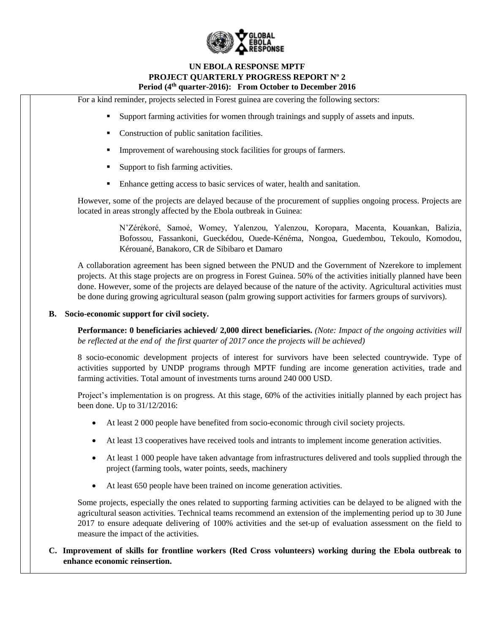

For a kind reminder, projects selected in Forest guinea are covering the following sectors:

- Support farming activities for women through trainings and supply of assets and inputs.
- Construction of public sanitation facilities.
- Improvement of warehousing stock facilities for groups of farmers.
- Support to fish farming activities.
- Enhance getting access to basic services of water, health and sanitation.

However, some of the projects are delayed because of the procurement of supplies ongoing process. Projects are located in areas strongly affected by the Ebola outbreak in Guinea:

> N'Zérékoré, Samoé, Womey, Yalenzou, Yalenzou, Koropara, Macenta, Kouankan, Balizia, Bofossou, Fassankoni, Gueckédou, Ouede-Kénéma, Nongoa, Guedembou, Tekoulo, Komodou, Kérouané, Banakoro, CR de Sibibaro et Damaro

A collaboration agreement has been signed between the PNUD and the Government of Nzerekore to implement projects. At this stage projects are on progress in Forest Guinea. 50% of the activities initially planned have been done. However, some of the projects are delayed because of the nature of the activity. Agricultural activities must be done during growing agricultural season (palm growing support activities for farmers groups of survivors).

#### **B. Socio-economic support for civil society.**

**Performance: 0 beneficiaries achieved/ 2,000 direct beneficiaries.** *(Note: Impact of the ongoing activities will be reflected at the end of the first quarter of 2017 once the projects will be achieved)*

8 socio-economic development projects of interest for survivors have been selected countrywide. Type of activities supported by UNDP programs through MPTF funding are income generation activities, trade and farming activities. Total amount of investments turns around 240 000 USD.

Project's implementation is on progress. At this stage, 60% of the activities initially planned by each project has been done. Up to 31/12/2016:

- At least 2 000 people have benefited from socio-economic through civil society projects.
- At least 13 cooperatives have received tools and intrants to implement income generation activities.
- At least 1 000 people have taken advantage from infrastructures delivered and tools supplied through the project (farming tools, water points, seeds, machinery
- At least 650 people have been trained on income generation activities.

Some projects, especially the ones related to supporting farming activities can be delayed to be aligned with the agricultural season activities. Technical teams recommend an extension of the implementing period up to 30 June 2017 to ensure adequate delivering of 100% activities and the set-up of evaluation assessment on the field to measure the impact of the activities.

## **C. Improvement of skills for frontline workers (Red Cross volunteers) working during the Ebola outbreak to enhance economic reinsertion.**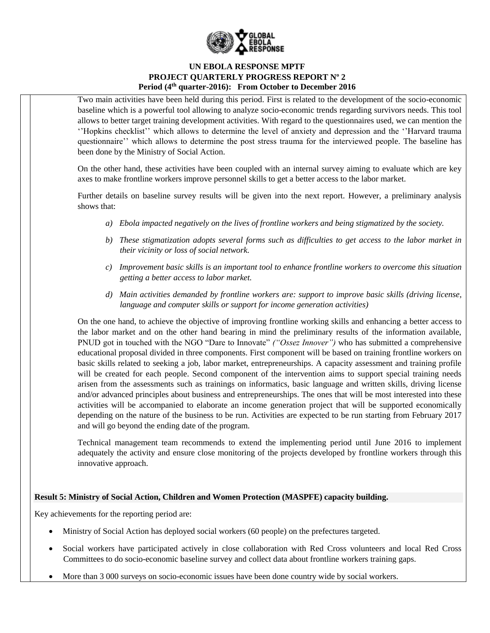

Two main activities have been held during this period. First is related to the development of the socio-economic baseline which is a powerful tool allowing to analyze socio-economic trends regarding survivors needs. This tool allows to better target training development activities. With regard to the questionnaires used, we can mention the ''Hopkins checklist'' which allows to determine the level of anxiety and depression and the ''Harvard trauma questionnaire'' which allows to determine the post stress trauma for the interviewed people. The baseline has been done by the Ministry of Social Action.

On the other hand, these activities have been coupled with an internal survey aiming to evaluate which are key axes to make frontline workers improve personnel skills to get a better access to the labor market.

Further details on baseline survey results will be given into the next report. However, a preliminary analysis shows that:

- *a) Ebola impacted negatively on the lives of frontline workers and being stigmatized by the society.*
- *b) These stigmatization adopts several forms such as difficulties to get access to the labor market in their vicinity or loss of social network.*
- *c) Improvement basic skills is an important tool to enhance frontline workers to overcome this situation getting a better access to labor market.*
- *d) Main activities demanded by frontline workers are: support to improve basic skills (driving license, language and computer skills or support for income generation activities)*

On the one hand, to achieve the objective of improving frontline working skills and enhancing a better access to the labor market and on the other hand bearing in mind the preliminary results of the information available, PNUD got in touched with the NGO "Dare to Innovate" *("Ossez Innover")* who has submitted a comprehensive educational proposal divided in three components. First component will be based on training frontline workers on basic skills related to seeking a job, labor market, entrepreneurships. A capacity assessment and training profile will be created for each people. Second component of the intervention aims to support special training needs arisen from the assessments such as trainings on informatics, basic language and written skills, driving license and/or advanced principles about business and entrepreneurships. The ones that will be most interested into these activities will be accompanied to elaborate an income generation project that will be supported economically depending on the nature of the business to be run. Activities are expected to be run starting from February 2017 and will go beyond the ending date of the program.

Technical management team recommends to extend the implementing period until June 2016 to implement adequately the activity and ensure close monitoring of the projects developed by frontline workers through this innovative approach.

## **Result 5: Ministry of Social Action, Children and Women Protection (MASPFE) capacity building.**

Key achievements for the reporting period are:

- Ministry of Social Action has deployed social workers (60 people) on the prefectures targeted.
- Social workers have participated actively in close collaboration with Red Cross volunteers and local Red Cross Committees to do socio-economic baseline survey and collect data about frontline workers training gaps.
- More than 3 000 surveys on socio-economic issues have been done country wide by social workers.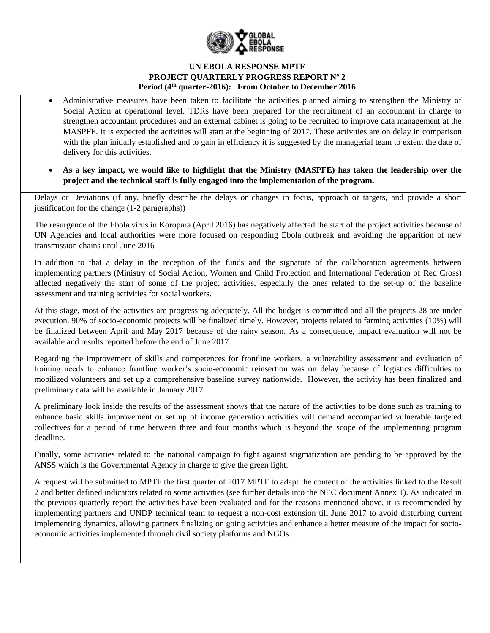

- Administrative measures have been taken to facilitate the activities planned aiming to strengthen the Ministry of Social Action at operational level. TDRs have been prepared for the recruitment of an accountant in charge to strengthen accountant procedures and an external cabinet is going to be recruited to improve data management at the MASPFE. It is expected the activities will start at the beginning of 2017. These activities are on delay in comparison with the plan initially established and to gain in efficiency it is suggested by the managerial team to extent the date of delivery for this activities.
- **As a key impact, we would like to highlight that the Ministry (MASPFE) has taken the leadership over the project and the technical staff is fully engaged into the implementation of the program.**

Delays or Deviations (if any, briefly describe the delays or changes in focus, approach or targets, and provide a short justification for the change (1-2 paragraphs))

The resurgence of the Ebola virus in Koropara (April 2016) has negatively affected the start of the project activities because of UN Agencies and local authorities were more focused on responding Ebola outbreak and avoiding the apparition of new transmission chains until June 2016

In addition to that a delay in the reception of the funds and the signature of the collaboration agreements between implementing partners (Ministry of Social Action, Women and Child Protection and International Federation of Red Cross) affected negatively the start of some of the project activities, especially the ones related to the set-up of the baseline assessment and training activities for social workers.

At this stage, most of the activities are progressing adequately. All the budget is committed and all the projects 28 are under execution. 90% of socio-economic projects will be finalized timely. However, projects related to farming activities (10%) will be finalized between April and May 2017 because of the rainy season. As a consequence, impact evaluation will not be available and results reported before the end of June 2017.

Regarding the improvement of skills and competences for frontline workers, a vulnerability assessment and evaluation of training needs to enhance frontline worker's socio-economic reinsertion was on delay because of logistics difficulties to mobilized volunteers and set up a comprehensive baseline survey nationwide. However, the activity has been finalized and preliminary data will be available in January 2017.

A preliminary look inside the results of the assessment shows that the nature of the activities to be done such as training to enhance basic skills improvement or set up of income generation activities will demand accompanied vulnerable targeted collectives for a period of time between three and four months which is beyond the scope of the implementing program deadline.

Finally, some activities related to the national campaign to fight against stigmatization are pending to be approved by the ANSS which is the Governmental Agency in charge to give the green light.

A request will be submitted to MPTF the first quarter of 2017 MPTF to adapt the content of the activities linked to the Result 2 and better defined indicators related to some activities (see further details into the NEC document Annex 1). As indicated in the previous quarterly report the activities have been evaluated and for the reasons mentioned above, it is recommended by implementing partners and UNDP technical team to request a non-cost extension till June 2017 to avoid disturbing current implementing dynamics, allowing partners finalizing on going activities and enhance a better measure of the impact for socioeconomic activities implemented through civil society platforms and NGOs.